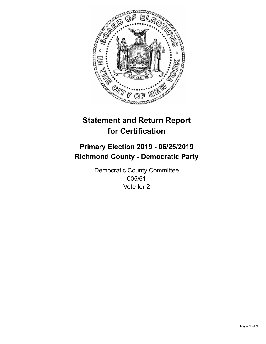

## **Statement and Return Report for Certification**

## **Primary Election 2019 - 06/25/2019 Richmond County - Democratic Party**

Democratic County Committee 005/61 Vote for 2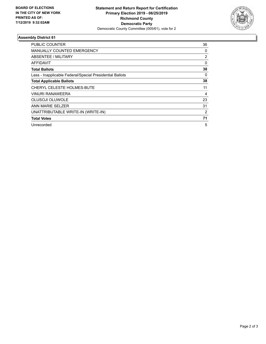

## **Assembly District 61**

| <b>PUBLIC COUNTER</b>                                    | 36             |
|----------------------------------------------------------|----------------|
| <b>MANUALLY COUNTED EMERGENCY</b>                        | 0              |
| ABSENTEE / MILITARY                                      | 2              |
| AFFIDAVIT                                                | 0              |
| <b>Total Ballots</b>                                     | 38             |
| Less - Inapplicable Federal/Special Presidential Ballots | 0              |
| <b>Total Applicable Ballots</b>                          | 38             |
| CHERYL CELESTE HOLMES-BUTE                               | 11             |
| <b>VINURI RANAWEERA</b>                                  | 4              |
| <b>OLUSOJI OLUWOLE</b>                                   | 23             |
| ANN MARIE SELZER                                         | 31             |
| UNATTRIBUTABLE WRITE-IN (WRITE-IN)                       | $\overline{2}$ |
| <b>Total Votes</b>                                       | 71             |
| Unrecorded                                               | 5              |